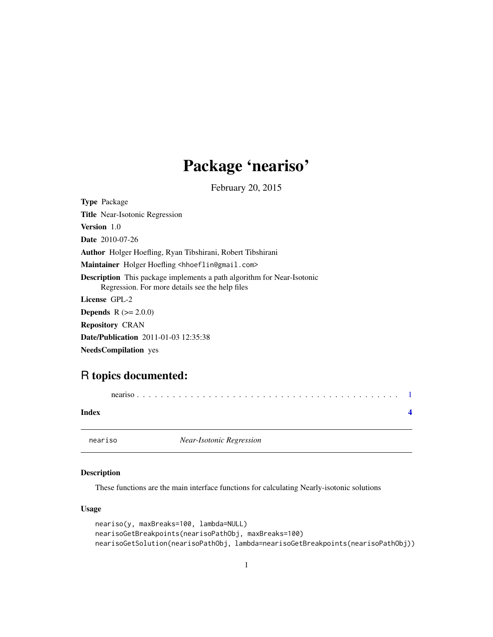## Package 'neariso'

February 20, 2015

<span id="page-0-0"></span>Type Package Title Near-Isotonic Regression Version 1.0 Date 2010-07-26 Author Holger Hoefling, Ryan Tibshirani, Robert Tibshirani Maintainer Holger Hoefling <hhoeflin@gmail.com> Description This package implements a path algorithm for Near-Isotonic Regression. For more details see the help files License GPL-2 **Depends**  $R (= 2.0.0)$ Repository CRAN Date/Publication 2011-01-03 12:35:38

NeedsCompilation yes

### R topics documented:

neariso . . . . . . . . . . . . . . . . . . . . . . . . . . . . . . . . . . . . . . . . . . . . [1](#page-0-0)

**Index** [4](#page-3-0)

neariso *Near-Isotonic Regression*

#### Description

These functions are the main interface functions for calculating Nearly-isotonic solutions

#### Usage

```
neariso(y, maxBreaks=100, lambda=NULL)
nearisoGetBreakpoints(nearisoPathObj, maxBreaks=100)
nearisoGetSolution(nearisoPathObj, lambda=nearisoGetBreakpoints(nearisoPathObj))
```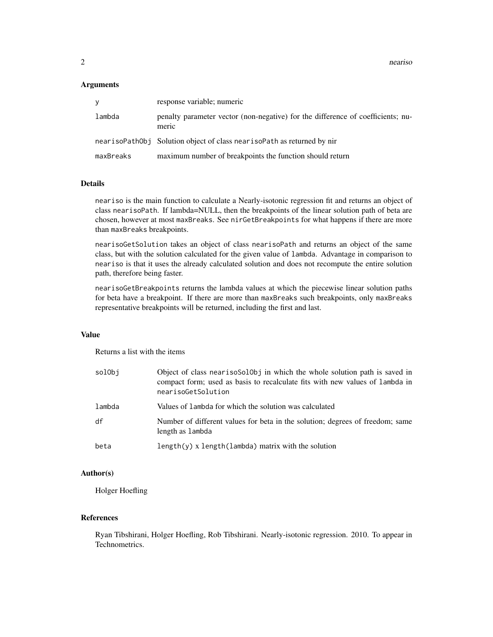$2 \cos \theta$  neariso  $\theta$  neariso  $\theta$  neariso  $\theta$  near  $\theta$  near  $\theta$  near  $\theta$  near  $\theta$  near  $\theta$  near  $\theta$  near  $\theta$  near  $\theta$  near  $\theta$  near  $\theta$  near  $\theta$  near  $\theta$  near  $\theta$  near  $\theta$  near  $\theta$  near  $\theta$  near  $\theta$  near

#### **Arguments**

| ٧         | response variable; numeric                                                               |
|-----------|------------------------------------------------------------------------------------------|
| lambda    | penalty parameter vector (non-negative) for the difference of coefficients; nu-<br>meric |
|           | nearisoPathObj Solution object of class nearisoPath as returned by nir                   |
| maxBreaks | maximum number of breakpoints the function should return                                 |

#### Details

neariso is the main function to calculate a Nearly-isotonic regression fit and returns an object of class nearisoPath. If lambda=NULL, then the breakpoints of the linear solution path of beta are chosen, however at most maxBreaks. See nirGetBreakpoints for what happens if there are more than maxBreaks breakpoints.

nearisoGetSolution takes an object of class nearisoPath and returns an object of the same class, but with the solution calculated for the given value of lambda. Advantage in comparison to neariso is that it uses the already calculated solution and does not recompute the entire solution path, therefore being faster.

nearisoGetBreakpoints returns the lambda values at which the piecewise linear solution paths for beta have a breakpoint. If there are more than maxBreaks such breakpoints, only maxBreaks representative breakpoints will be returned, including the first and last.

#### Value

Returns a list with the items

| solObi | Object of class nearisosolooj in which the whole solution path is saved in<br>compact form; used as basis to recalculate fits with new values of lambda in<br>nearisoGetSolution |
|--------|----------------------------------------------------------------------------------------------------------------------------------------------------------------------------------|
| lambda | Values of lambda for which the solution was calculated                                                                                                                           |
| df     | Number of different values for beta in the solution; degrees of freedom; same<br>length as lambda                                                                                |
| beta   | $length(y)$ x $length(lambda)$ matrix with the solution                                                                                                                          |

#### Author(s)

Holger Hoefling

#### References

Ryan Tibshirani, Holger Hoefling, Rob Tibshirani. Nearly-isotonic regression. 2010. To appear in Technometrics.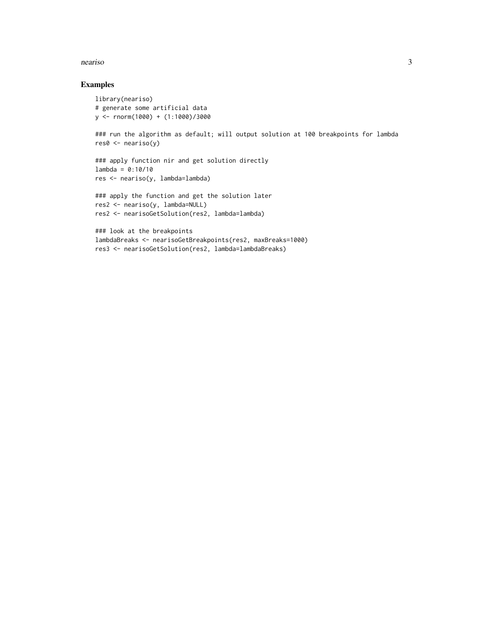#### neariso 3

#### Examples

```
library(neariso)
# generate some artificial data
y <- rnorm(1000) + (1:1000)/3000
### run the algorithm as default; will output solution at 100 breakpoints for lambda
res0 <- neariso(y)
### apply function nir and get solution directly
lambda = 0:10/10res <- neariso(y, lambda=lambda)
### apply the function and get the solution later
res2 <- neariso(y, lambda=NULL)
res2 <- nearisoGetSolution(res2, lambda=lambda)
### look at the breakpoints
lambdaBreaks <- nearisoGetBreakpoints(res2, maxBreaks=1000)
```
res3 <- nearisoGetSolution(res2, lambda=lambdaBreaks)